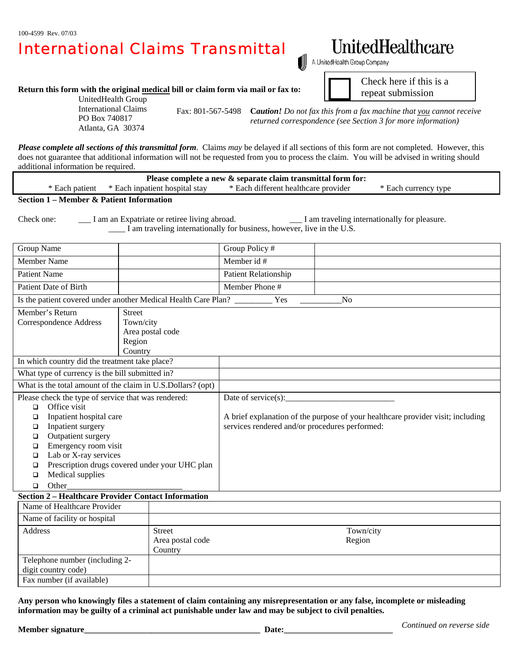## International Claims Transmittal

## UnitedHealthcare

Check here if this is a repeat submission

A UnitedHealth Group Company

**Return this form with the original medical bill or claim form via mail or fax to:** 

UnitedHealth Group International Claims PO Box 740817 Atlanta, GA 30374

 Fax: 801-567-5498 **C***aution! Do not fax this from a fax machine that you cannot receive returned correspondence (see Section 3 for more information)*

*Please complete all sections of this transmittal form*. Claims *may* be delayed if all sections of this form are not completed. However, this does not guarantee that additional information will not be requested from you to process the claim. You will be advised in writing should additional information be required.

| * Each different healthcare provider<br>* Each currency type<br>* Each patient<br>* Each inpatient hospital stav |  |
|------------------------------------------------------------------------------------------------------------------|--|

**Section 1 – Member & Patient Information** 

Check one: \_\_\_\_ I am an Expatriate or retiree living abroad. \_\_\_\_\_\_ I am traveling internationally for pleasure. \_\_\_\_ I am traveling internationally for business, however, live in the U.S.

| Group Name                                                                              |                                                | Group Policy #                                                                  |           |  |  |
|-----------------------------------------------------------------------------------------|------------------------------------------------|---------------------------------------------------------------------------------|-----------|--|--|
| Member Name                                                                             |                                                | Member id #                                                                     |           |  |  |
| <b>Patient Name</b>                                                                     |                                                | Patient Relationship                                                            |           |  |  |
| <b>Patient Date of Birth</b>                                                            |                                                | Member Phone #                                                                  |           |  |  |
| Is the patient covered under another Medical Health Care Plan?<br>Yes<br>N <sub>0</sub> |                                                |                                                                                 |           |  |  |
| Member's Return                                                                         | <b>Street</b>                                  |                                                                                 |           |  |  |
| <b>Correspondence Address</b>                                                           | Town/city                                      |                                                                                 |           |  |  |
|                                                                                         | Area postal code                               |                                                                                 |           |  |  |
|                                                                                         | Region                                         |                                                                                 |           |  |  |
|                                                                                         | Country                                        |                                                                                 |           |  |  |
| In which country did the treatment take place?                                          |                                                |                                                                                 |           |  |  |
| What type of currency is the bill submitted in?                                         |                                                |                                                                                 |           |  |  |
| What is the total amount of the claim in U.S.Dollars? (opt)                             |                                                |                                                                                 |           |  |  |
| Please check the type of service that was rendered:                                     |                                                | Date of service $(s)$ :                                                         |           |  |  |
| Office visit<br>$\Box$                                                                  |                                                |                                                                                 |           |  |  |
| Inpatient hospital care<br>$\Box$                                                       |                                                | A brief explanation of the purpose of your healthcare provider visit; including |           |  |  |
| Inpatient surgery<br>□                                                                  |                                                | services rendered and/or procedures performed:                                  |           |  |  |
| Outpatient surgery<br>$\Box$                                                            |                                                |                                                                                 |           |  |  |
| Emergency room visit<br>$\Box$                                                          |                                                |                                                                                 |           |  |  |
| Lab or X-ray services<br>□                                                              |                                                |                                                                                 |           |  |  |
| □                                                                                       | Prescription drugs covered under your UHC plan |                                                                                 |           |  |  |
| Medical supplies<br>□                                                                   |                                                |                                                                                 |           |  |  |
| Other<br>$\Box$                                                                         |                                                |                                                                                 |           |  |  |
| <b>Section 2 - Healthcare Provider Contact Information</b>                              |                                                |                                                                                 |           |  |  |
| Name of Healthcare Provider                                                             |                                                |                                                                                 |           |  |  |
| Name of facility or hospital                                                            |                                                |                                                                                 |           |  |  |
| <b>Address</b><br><b>Street</b><br>Area postal code                                     |                                                |                                                                                 | Town/city |  |  |
|                                                                                         |                                                |                                                                                 | Region    |  |  |
|                                                                                         | Country                                        |                                                                                 |           |  |  |
| Telephone number (including 2-                                                          |                                                |                                                                                 |           |  |  |
| digit country code)                                                                     |                                                |                                                                                 |           |  |  |
| Fax number (if available)                                                               |                                                |                                                                                 |           |  |  |

**Any person who knowingly files a statement of claim containing any misrepresentation or any false, incomplete or misleading information may be guilty of a criminal act punishable under law and may be subject to civil penalties.**